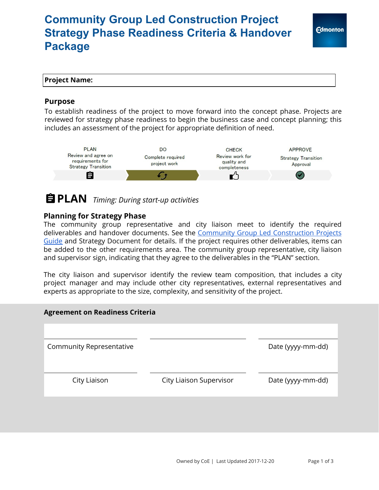# **Community Group Led Construction Project Strategy Phase Readiness Criteria & Handover Package**

### **Project Name:**

#### **Purpose**

To establish readiness of the project to move forward into the concept phase. Projects are reviewed for strategy phase readiness to begin the business case and concept planning; this includes an assessment of the project for appropriate definition of need.



# **PLAN** *Timing: During start-up activities*

#### **Planning for Strategy Phase**

The community group representative and city liaison meet to identify the required deliverables and handover documents. See the Community Group Led [Construction](https://www.edmonton.ca/programs_services/documents/PDF/comm_construction_guide20170622.pdf) Projects [Guide](https://www.edmonton.ca/programs_services/documents/PDF/comm_construction_guide20170622.pdf) and Strategy Document for details. If the project requires other deliverables, items can be added to the other requirements area. The community group representative, city liaison and supervisor sign, indicating that they agree to the deliverables in the "PLAN" section.

The city liaison and supervisor identify the review team composition, that includes a city project manager and may include other city representatives, external representatives and experts as appropriate to the size, complexity, and sensitivity of the project.

#### **Agreement on Readiness Criteria**

Community Representative **Community Representative** and the Community Representative

City Liaison City Liaison Supervisor Date (yyyy-mm-dd)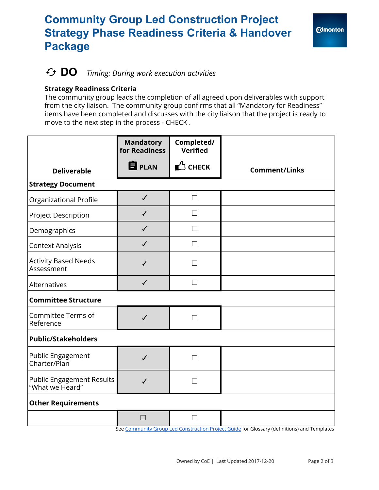# **Community Group Led Construction Project Strategy Phase Readiness Criteria & Handover Package**

### **DO** *Timing: During work execution activities*

#### **Strategy Readiness Criteria**

The community group leads the completion of all agreed upon deliverables with support from the city liaison. The community group confirms that all "Mandatory for Readiness" items have been completed and discusses with the city liaison that the project is ready to move to the next step in the process - CHECK .

|                                                     | <b>Mandatory</b><br>for Readiness | Completed/<br><b>Verified</b> |                                                                                             |
|-----------------------------------------------------|-----------------------------------|-------------------------------|---------------------------------------------------------------------------------------------|
| <b>Deliverable</b>                                  | <b>自</b> PLAN                     | $\bigcirc$ check              | <b>Comment/Links</b>                                                                        |
| <b>Strategy Document</b>                            |                                   |                               |                                                                                             |
| Organizational Profile                              | $\checkmark$                      | $\Box$                        |                                                                                             |
| Project Description                                 | $\checkmark$                      | $\Box$                        |                                                                                             |
| Demographics                                        | $\checkmark$                      | $\Box$                        |                                                                                             |
| <b>Context Analysis</b>                             | $\checkmark$                      | $\Box$                        |                                                                                             |
| <b>Activity Based Needs</b><br>Assessment           | $\checkmark$                      | П                             |                                                                                             |
| Alternatives                                        | $\checkmark$                      | $\Box$                        |                                                                                             |
| <b>Committee Structure</b>                          |                                   |                               |                                                                                             |
| Committee Terms of<br>Reference                     | $\checkmark$                      | П                             |                                                                                             |
| <b>Public/Stakeholders</b>                          |                                   |                               |                                                                                             |
| Public Engagement<br>Charter/Plan                   | $\checkmark$                      | П                             |                                                                                             |
| <b>Public Engagement Results</b><br>"What we Heard" | $\checkmark$                      | $\Box$                        |                                                                                             |
| <b>Other Requirements</b>                           |                                   |                               |                                                                                             |
|                                                     | $\Box$                            |                               | See Community Group Led Construction Project Guide for Glossary (definitions) and Templates |

See <u>Community Group Led [Construction](https://www.edmonton.ca/programs_services/documents/PDF/comm_construction_guide20170622.pdf) Project Guide</u> for Glossary (definitions) and Templates